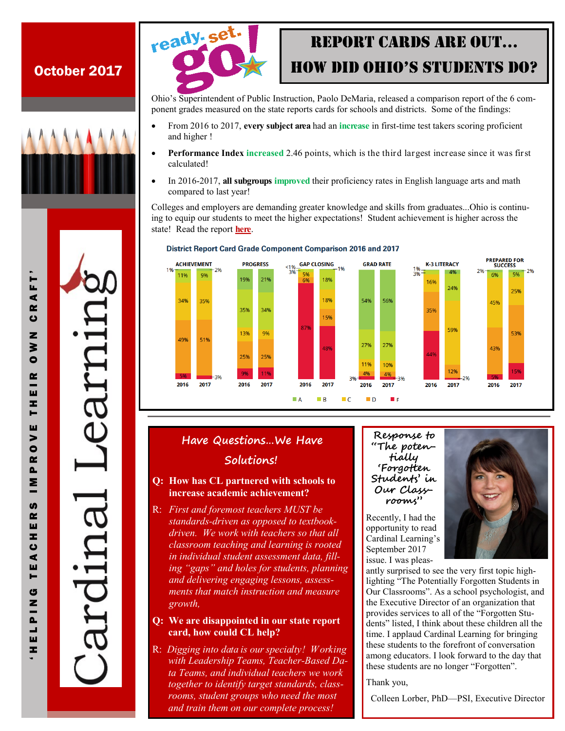# October 2017







# RepoRt CaRds aRe oUt… How did oHio's stUdents do?

Ohio's Superintendent of Public Instruction, Paolo DeMaria, released a comparison report of the 6 component grades measured on the state reports cards for schools and districts. Some of the findings:

- From 2016 to 2017, **every subject area** had an **increase** in first-time test takers scoring proficient and higher !
- **Performance Index increased** 2.46 points, which is the third largest increase since it was first calculated!
- In 2016-2017, **all subgroups improved** their proficiency rates in English language arts and math compared to last year!

Colleges and employers are demanding greater knowledge and skills from graduates...Ohio is continuing to equip our students to meet the higher expectations! Student achievement is higher across the state! Read the report **[here](http://reportcard.education.ohio.gov/Documents/State_Report_Card.pdf)**.



#### **District Report Card Grade Component Comparison 2016 and 2017**

## **Have Questions…We Have Solutions!**

### **Q: How has CL partnered with schools to increase academic achievement?**

R: *First and foremost teachers MUST be standards-driven as opposed to textbookdriven. We work with teachers so that all classroom teaching and learning is rooted in individual student assessment data, filling "gaps" and holes for students, planning and delivering engaging lessons, assessments that match instruction and measure growth,* 

### **Q: We are disappointed in our state report card, how could CL help?**

R: *Digging into data is our specialty! Working with Leadership Teams, Teacher-Based Data Teams, and individual teachers we work together to identify target standards, classrooms, student groups who need the most and train them on our complete process!*

#### **Response to "The potentially 'Forgotten Students' in Our Classrooms"**

Recently, I had the opportunity to read Cardinal Learning's September 2017 issue. I was pleas-

antly surprised to see the very first topic highlighting "The Potentially Forgotten Students in Our Classrooms". As a school psychologist, and the Executive Director of an organization that provides services to all of the "Forgotten Students" listed, I think about these children all the time. I applaud Cardinal Learning for bringing these students to the forefront of conversation among educators. I look forward to the day that these students are no longer "Forgotten".

Thank you,

Colleen Lorber, PhD—PSI, Executive Director